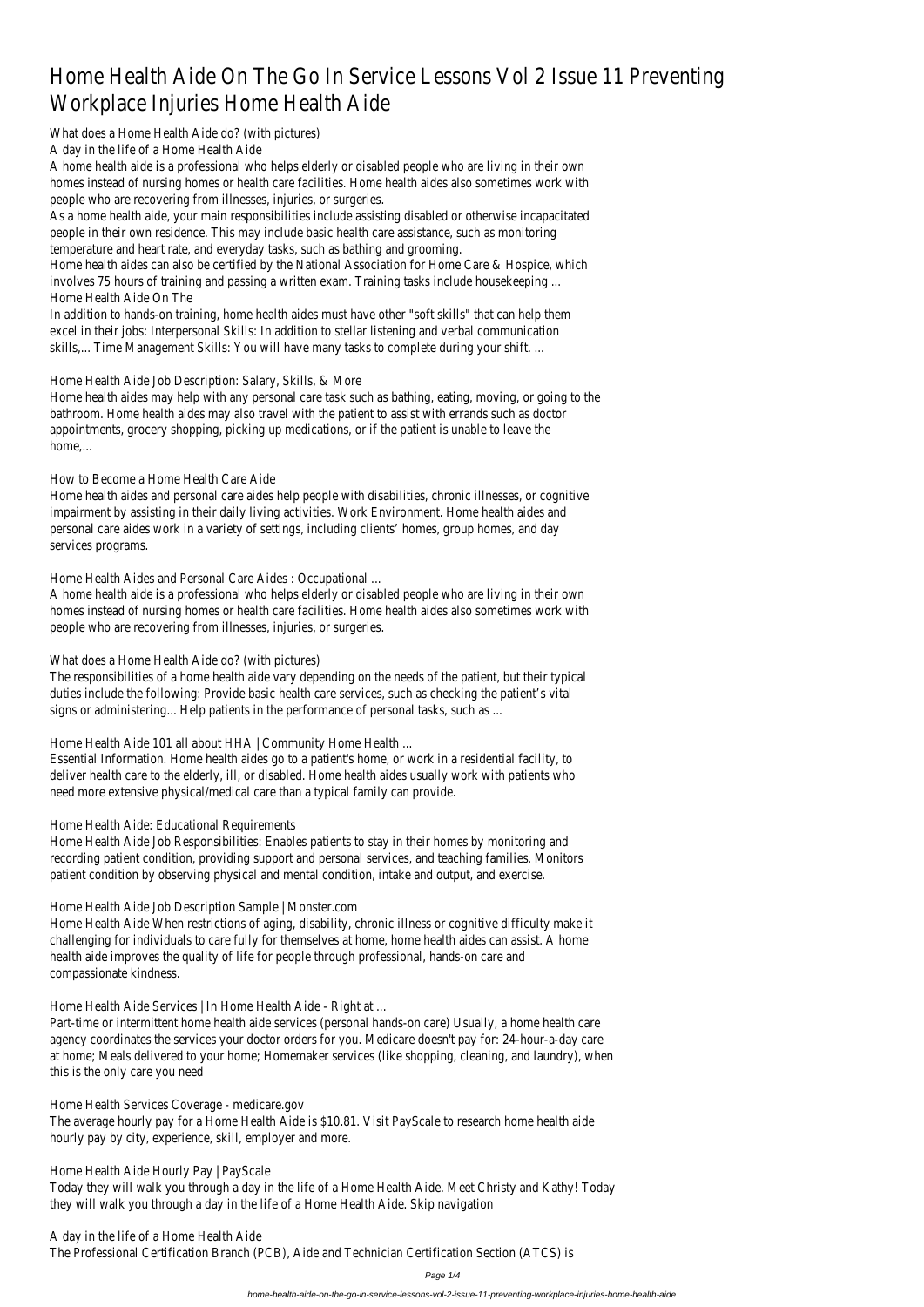# Home Health Aide On The Go In Service Lessons Vol 2 Issue 11 Prevent Workplace Injuries Home Health Aide

What does a Home Health Aide do? (with picture

A day in the life of a Home Health Aide

A home health aide is a professional who helps elderly or disabled people who are living in their own homes instead of nursing homes or health care facilities. Home health aides also sometimes work with people who are recovering from illnesses, injuries, or surgerie

As a home health aide, your main responsibilities include assisting disabled or otherwise incapacitations and people in their own residence. This may include basic health care assistance, such as monitor temperature and heart rate, and everyday tasks, such as bathing and groomi

Home health aides can also be certified by the National Association for Home Care & Hospice, w involves 75 hours of training and passing a written exam. Training tasks include housekeepine Home Health Aide On The

In addition to hands-on training, home health aides must have other "soft skills" that can help them excel in their jobs: Interpersonal Skills: In addition to stellar listening and verbal communicat skills,... Time Management Skills: You will have many tasks to complete during your shift

### Home Health Aide Job Description: Salary, Skills, & More

Home health aides may help with any personal care task such as bathing, eating, moving, or going to bathroom. Home health aides may also travel with the patient to assist with errands such as do appointments, grocery shopping, picking up medications, or if the patient is unable to leave home,...

How to Become a Home Health Care Aided

Home health aides and personal care aides help people with disabilities, chronic illnesses, or cognit impairment by assisting in their daily living activities. Work Environment. Home health aides and personal care aides work in a variety of settings, including clients' homes, group homes, and do services programs.

Home Health Aides and Personal Care Aides : Occupational

A home health aide is a professional who helps elderly or disabled people who are living in their own homes instead of nursing homes or health care facilities. Home health aides also sometimes work v people who are recovering from illnesses, injuries, or surgerie

## What does a Home Health Aide do? (with picture

The responsibilities of a home health aide vary depending on the needs of the patient, but their typure duties include the following: Provide basic health care services, such as checking the patient's v signs or administering... Help patients in the performance of personal tasks, such as

Home Health Aide 101 all about HHA | Community Home Health

Essential Information. Home health aides go to a patient's home, or work in a residential facility deliver health care to the elderly, ill, or disabled. Home health aides usually work with patients whole need more extensive physical/medical care than a typical family can provide.

## Home Health Aide: Educational Requirement

Home Health Aide Job Responsibilities: Enables patients to stay in their homes by monitoring recording patient condition, providing support and personal services, and teaching families. Monit patient condition by observing physical and mental condition, intake and output, and exerce

## Home Health Aide Job Description Sample | Monster.com

Home Health Aide When restrictions of aging, disability, chronic illness or cognitive difficulty mak challenging for individuals to care fully for themselves at home, home health aides can assist. A ho health aide improves the quality of life for people through professional, hands-on care and compassionate kindness.

Home Health Aide Services | In Home Health Aide - Right at

Part-time or intermittent home health aide services (personal hands-on care) Usually, a home health or agency coordinates the services your doctor orders for you. Medicare doesn't pay for: 24-hour-a-day at home; Meals delivered to your home; Homemaker services (like shopping, cleaning, and laundry), wh this is the only care you need

Home Health Services Coverage - medicare.gov The average hourly pay for a Home Health Aide is \$10.81. Visit PayScale to research home health hourly pay by city, experience, skill, employer and more.

Home Health Aide Hourly Pay | PayScal Today they will walk you through a day in the life of a Home Health Aide. Meet Christy and Kathy! T they will walk you through a day in the life of a Home Health Aide. Skip naviga

A day in the life of a Home Health Aide

The Professional Certification Branch (PCB), Aide and Technician Certification Section (ATCS) is

Page 1/4

home-health-aide-on-the-go-in-service-lessons-vol-2-issue-11-preventing-workplace-injuries-home-health-aide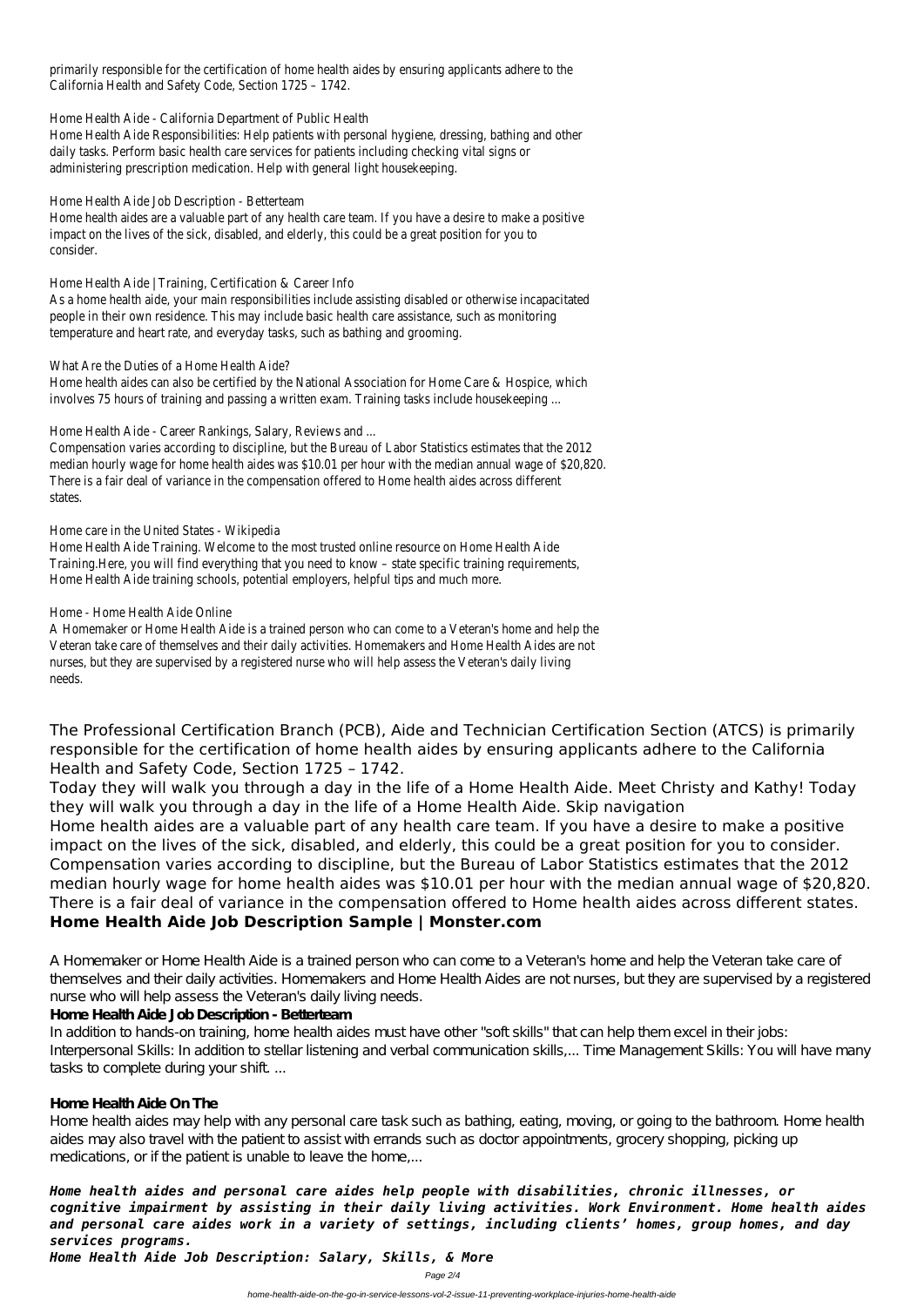primarily responsible for the certification of home health aides by ensuring applicants adhere to California Health and Safety Code, Section 1725 - 174

Home Health Aide - California Department of Public Health

Home Health Aide Responsibilities: Help patients with personal hygiene, dressing, bathing and ot daily tasks. Perform basic health care services for patients including checking vital signs administering prescription medication. Help with general light housekeeping.

Home health aides are a valuable part of any health care team. If you have a desire to make a position impact on the lives of the sick, disabled, and elderly, this could be a great position for you consider.

Home Health Aide | Training, Certification & Career In

As a home health aide, your main responsibilities include assisting disabled or otherwise incapacitations. people in their own residence. This may include basic health care assistance, such as monitor temperature and heart rate, and everyday tasks, such as bathing and groomi

What Are the Duties of a Home Health Aide

Home health aides can also be certified by the National Association for Home Care & Hospice, wl involves 75 hours of training and passing a written exam. Training tasks include housekeeping

Home Health Aide - Career Rankings, Salary, Reviews and

Home Health Aide Job Description - Betterteam

Compensation varies according to discipline, but the Bureau of Labor Statistics estimates that the 2 median hourly wage for home health aides was \$10.01 per hour with the median annual wage of \$20, There is a fair deal of variance in the compensation offered to Home health aides across diffe states.

Home care in the United States - Wikiped

Home Health Aide Training. Welcome to the most trusted online resource on Home Health *I* Training.Here, you will find everything that you need to know - state specific training requireme Home Health Aide training schools, potential employers, helpful tips and much mo

#### Home - Home Health Aide Online

A Homemaker or Home Health Aide is a trained person who can come to a Veteran's home and help Veteran take care of themselves and their daily activities. Homemakers and Home Health Aides are nurses, but they are supervised by a registered nurse who will help assess the Veteran's daily liv needs.

Home health aides may help with any personal care task such as bathing, eating, moving, or going to the bathroom. Home health aides may also travel with the patient to assist with errands such as doctor appointments, grocery shopping, picking up medications, or if the patient is unable to leave the home....

The Professional Certification Branch (PCB), Aide and Technician Certification Section (ATCS) is primarily responsible for the certification of home health aides by ensuring applicants adhere to the California Health and Safety Code, Section 1725 – 1742.

Today they will walk you through a day in the life of a Home Health Aide. Meet Christy and Kathy! Today they will walk you through a day in the life of a Home Health Aide. Skip navigation Home health aides are a valuable part of any health care team. If you have a desire to make a positive impact on the lives of the sick, disabled, and elderly, this could be a great position for you to consider. Compensation varies according to discipline, but the Bureau of Labor Statistics estimates that the 2012 median hourly wage for home health aides was \$10.01 per hour with the median annual wage of \$20,820. There is a fair deal of variance in the compensation offered to Home health aides across different states. **Home Health Aide Job Description Sample | Monster.com**

A Homemaker or Home Health Aide is a trained person who can come to a Veteran's home and help the Veteran take care of themselves and their daily activities. Homemakers and Home Health Aides are not nurses, but they are supervised by a registered

#### nurse who will help assess the Veteran's daily living needs.

#### **Home Health Aide Job Description - Betterteam**

In addition to hands-on training, home health aides must have other "soft skills" that can help them excel in their jobs: Interpersonal Skills: In addition to stellar listening and verbal communication skills,... Time Management Skills: You will have many tasks to complete during your shift...

#### **Home Health Aide On The**

*Home health aides and personal care aides help people with disabilities, chronic illnesses, or cognitive impairment by assisting in their daily living activities. Work Environment. Home health aides and personal care aides work in a variety of settings, including clients' homes, group homes, and day services programs.*

*Home Health Aide Job Description: Salary, Skills, & More*

Page 2/4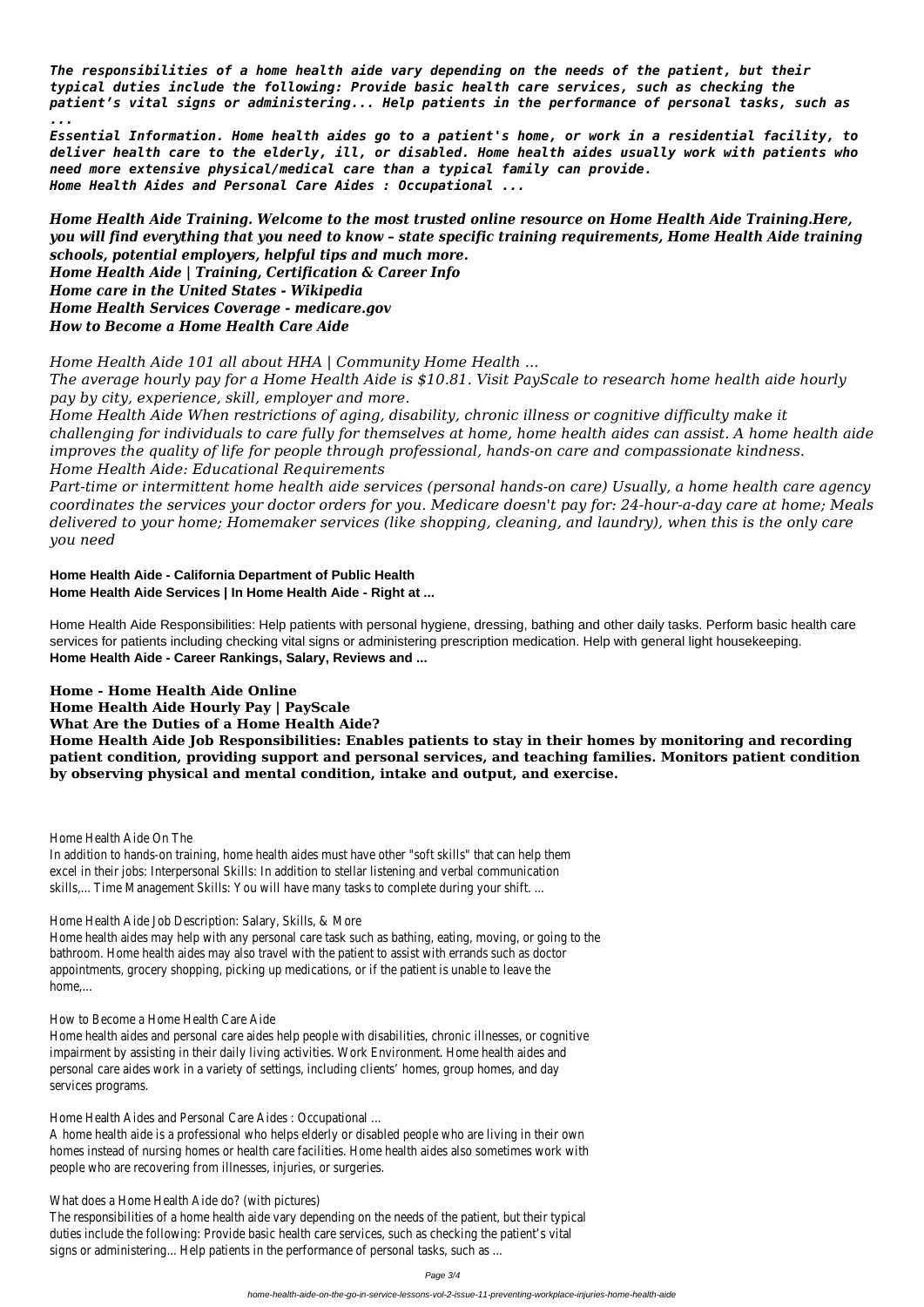*The responsibilities of a home health aide vary depending on the needs of the patient, but their typical duties include the following: Provide basic health care services, such as checking the patient's vital signs or administering... Help patients in the performance of personal tasks, such as ...*

*Essential Information. Home health aides go to a patient's home, or work in a residential facility, to deliver health care to the elderly, ill, or disabled. Home health aides usually work with patients who need more extensive physical/medical care than a typical family can provide. Home Health Aides and Personal Care Aides : Occupational ...*

*Home Health Aide Training. Welcome to the most trusted online resource on Home Health Aide Training.Here, you will find everything that you need to know – state specific training requirements, Home Health Aide training schools, potential employers, helpful tips and much more. Home Health Aide | Training, Certification & Career Info Home care in the United States - Wikipedia Home Health Services Coverage - medicare.gov How to Become a Home Health Care Aide*

*Home Health Aide 101 all about HHA | Community Home Health ...*

*The average hourly pay for a Home Health Aide is \$10.81. Visit PayScale to research home health aide hourly pay by city, experience, skill, employer and more.*

In addition to hands-on training, home health aides must have other "soft skills" that can help them excel in their jobs: Interpersonal Skills: In addition to stellar listening and verbal communication skills,... Time Management Skills: You will have many tasks to complete during your shift. ...

*Home Health Aide When restrictions of aging, disability, chronic illness or cognitive difficulty make it challenging for individuals to care fully for themselves at home, home health aides can assist. A home health aide improves the quality of life for people through professional, hands-on care and compassionate kindness. Home Health Aide: Educational Requirements*

*Part-time or intermittent home health aide services (personal hands-on care) Usually, a home health care agency coordinates the services your doctor orders for you. Medicare doesn't pay for: 24-hour-a-day care at home; Meals delivered to your home; Homemaker services (like shopping, cleaning, and laundry), when this is the only care you need*

**Home Health Aide - California Department of Public Health Home Health Aide Services | In Home Health Aide - Right at ...**

The responsibilities of a home health aide vary depending on the needs of the patient, but their typical duties include the following: Provide basic health care services, such as checking the patient's vital signs or administering... Help patients in the performance of personal tasks, such as ...

Home Health Aide Responsibilities: Help patients with personal hygiene, dressing, bathing and other daily tasks. Perform basic health care services for patients including checking vital signs or administering prescription medication. Help with general light housekeeping. **Home Health Aide - Career Rankings, Salary, Reviews and ...**

#### **Home - Home Health Aide Online**

**Home Health Aide Hourly Pay | PayScale**

**What Are the Duties of a Home Health Aide?**

**Home Health Aide Job Responsibilities: Enables patients to stay in their homes by monitoring and recording patient condition, providing support and personal services, and teaching families. Monitors patient condition by observing physical and mental condition, intake and output, and exercise.**

Home Health Aide On The

Home Health Aide Job Description: Salary, Skills, & More

Home health aides may help with any personal care task such as bathing, eating, moving, or going to the bathroom. Home health aides may also travel with the patient to assist with errands such as doctor appointments, grocery shopping, picking up medications, or if the patient is unable to leave the home,...

How to Become a Home Health Care Aide

Home health aides and personal care aides help people with disabilities, chronic illnesses, or cognitive impairment by assisting in their daily living activities. Work Environment. Home health aides and personal care aides work in a variety of settings, including clients' homes, group homes, and day services programs.

Home Health Aides and Personal Care Aides : Occupational ...

A home health aide is a professional who helps elderly or disabled people who are living in their own homes instead of nursing homes or health care facilities. Home health aides also sometimes work with people who are recovering from illnesses, injuries, or surgeries.

What does a Home Health Aide do? (with pictures)

Page 3/4

home-health-aide-on-the-go-in-service-lessons-vol-2-issue-11-preventing-workplace-injuries-home-health-aide